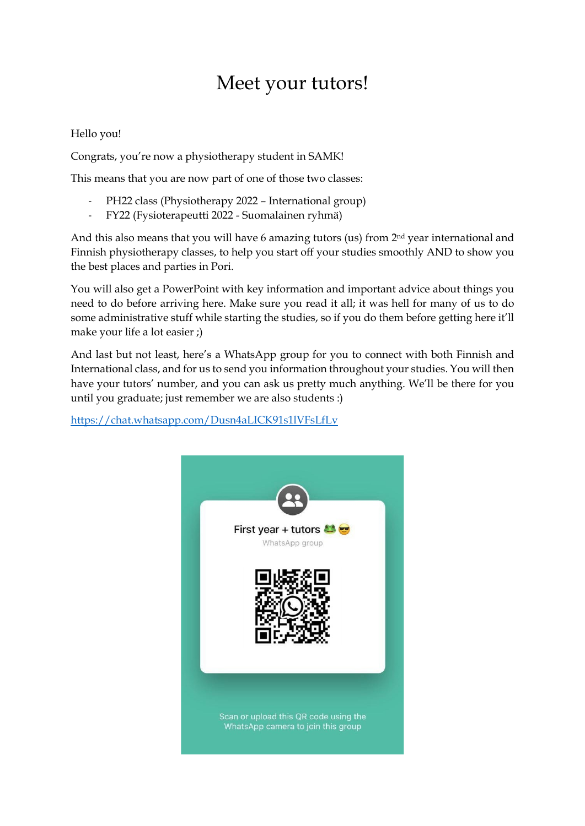# Meet your tutors!

#### Hello you!

Congrats, you're now a physiotherapy student in SAMK!

This means that you are now part of one of those two classes:

- PH22 class (Physiotherapy 2022 International group)
- FY22 (Fysioterapeutti 2022 Suomalainen ryhmä)

And this also means that you will have 6 amazing tutors (us) from 2<sup>nd</sup> year international and Finnish physiotherapy classes, to help you start off your studies smoothly AND to show you the best places and parties in Pori.

You will also get a PowerPoint with key information and important advice about things you need to do before arriving here. Make sure you read it all; it was hell for many of us to do some administrative stuff while starting the studies, so if you do them before getting here it'll make your life a lot easier ;)

And last but not least, here's a WhatsApp group for you to connect with both Finnish and International class, and for us to send you information throughout your studies. You will then have your tutors' number, and you can ask us pretty much anything. We'll be there for you until you graduate; just remember we are also students :)

<https://chat.whatsapp.com/Dusn4aLICK91s1lVFsLfLv>

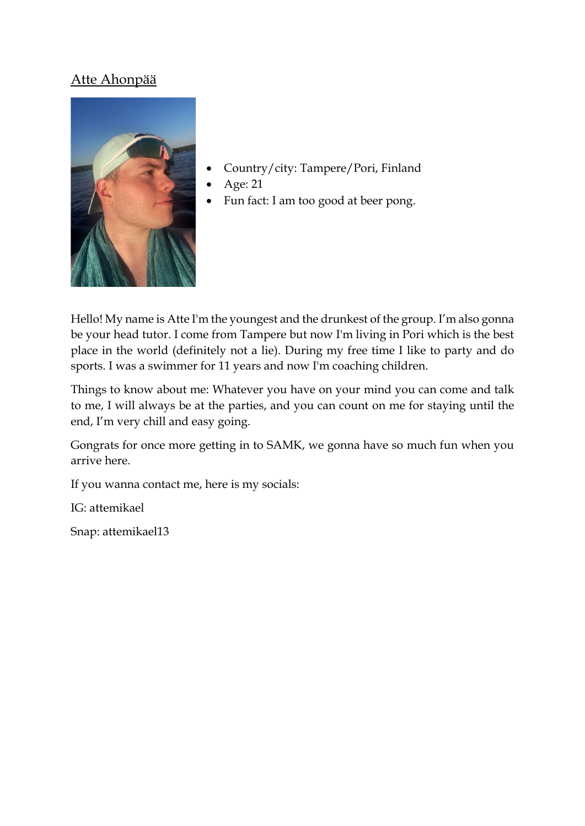#### Atte Ahonpää



- Country/city: Tampere/Pori, Finland
- Age: 21
- Fun fact: I am too good at beer pong.

Hello! My name is Atte I'm the youngest and the drunkest of the group. I'm also gonna be your head tutor. I come from Tampere but now I'm living in Pori which is the best place in the world (definitely not a lie). During my free time I like to party and do sports. I was a swimmer for 11 years and now I'm coaching children.

Things to know about me: Whatever you have on your mind you can come and talk to me, I will always be at the parties, and you can count on me for staying until the end, I'm very chill and easy going.

Gongrats for once more getting in to SAMK, we gonna have so much fun when you arrive here.

If you wanna contact me, here is my socials:

IG: attemikael

Snap: attemikael13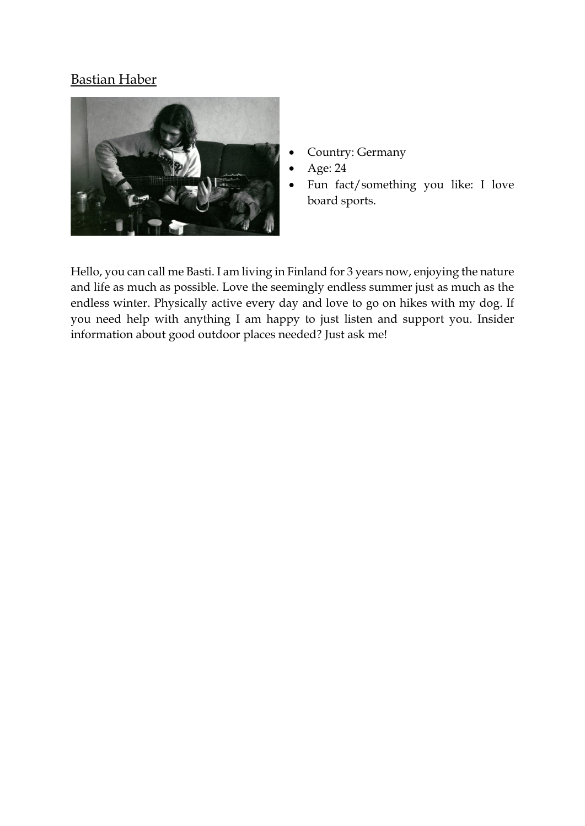# Bastian Haber



- Country: Germany
- Age: 24
- Fun fact/something you like: I love board sports.

Hello, you can call me Basti. I am living in Finland for 3 years now, enjoying the nature and life as much as possible. Love the seemingly endless summer just as much as the endless winter. Physically active every day and love to go on hikes with my dog. If you need help with anything I am happy to just listen and support you. Insider information about good outdoor places needed? Just ask me!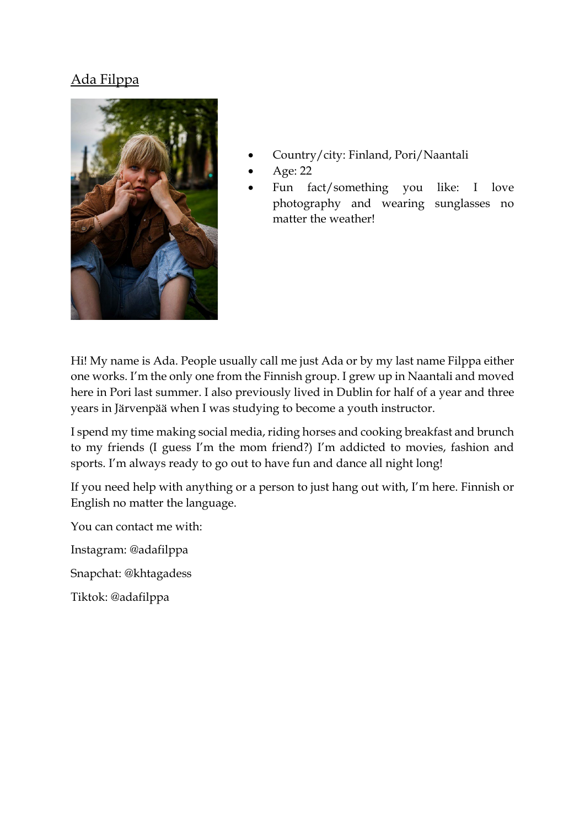### Ada Filppa



- Country/city: Finland, Pori/Naantali
- Age: 22
- Fun fact/something you like: I love photography and wearing sunglasses no matter the weather!

Hi! My name is Ada. People usually call me just Ada or by my last name Filppa either one works. I'm the only one from the Finnish group. I grew up in Naantali and moved here in Pori last summer. I also previously lived in Dublin for half of a year and three years in Järvenpää when I was studying to become a youth instructor.

I spend my time making social media, riding horses and cooking breakfast and brunch to my friends (I guess I'm the mom friend?) I'm addicted to movies, fashion and sports. I'm always ready to go out to have fun and dance all night long!

If you need help with anything or a person to just hang out with, I'm here. Finnish or English no matter the language.

You can contact me with:

Instagram: @adafilppa

Snapchat: @khtagadess

Tiktok: @adafilppa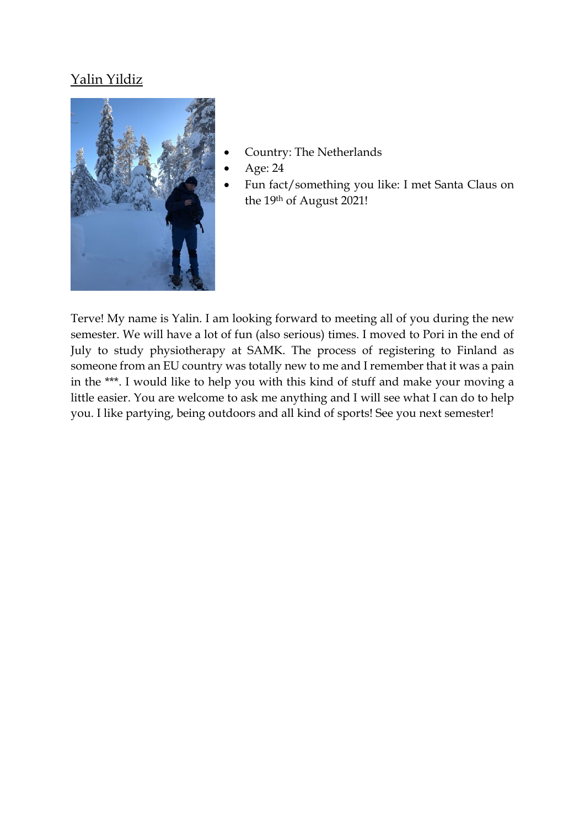# Yalin Yildiz



- Country: The Netherlands
- Age: 24
- Fun fact/something you like: I met Santa Claus on the 19th of August 2021!

Terve! My name is Yalin. I am looking forward to meeting all of you during the new semester. We will have a lot of fun (also serious) times. I moved to Pori in the end of July to study physiotherapy at SAMK. The process of registering to Finland as someone from an EU country was totally new to me and I remember that it was a pain in the \*\*\*. I would like to help you with this kind of stuff and make your moving a little easier. You are welcome to ask me anything and I will see what I can do to help you. I like partying, being outdoors and all kind of sports! See you next semester!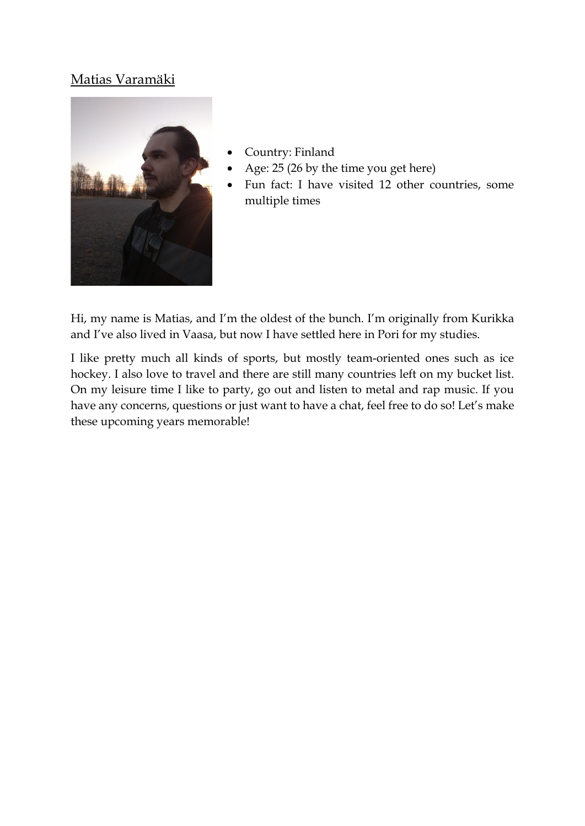# Matias Varamäki



- Country: Finland
- Age: 25 (26 by the time you get here)
- Fun fact: I have visited 12 other countries, some multiple times

Hi, my name is Matias, and I'm the oldest of the bunch. I'm originally from Kurikka and I've also lived in Vaasa, but now I have settled here in Pori for my studies.

I like pretty much all kinds of sports, but mostly team-oriented ones such as ice hockey. I also love to travel and there are still many countries left on my bucket list. On my leisure time I like to party, go out and listen to metal and rap music. If you have any concerns, questions or just want to have a chat, feel free to do so! Let's make these upcoming years memorable!